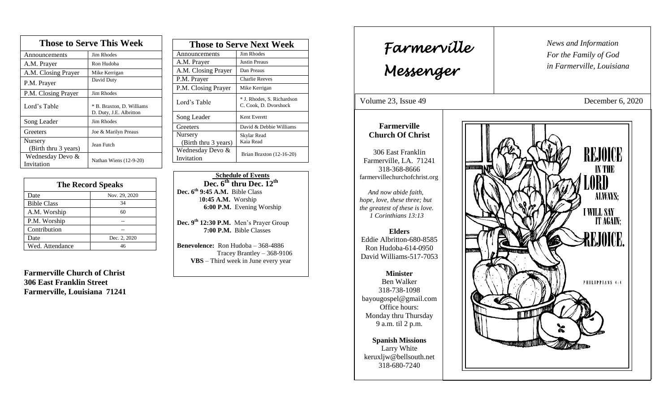| <b>Those to Serve This Week</b> |                                                      |  |
|---------------------------------|------------------------------------------------------|--|
| Announcements                   | <b>Jim Rhodes</b>                                    |  |
| A.M. Prayer                     | Ron Hudoba                                           |  |
| A.M. Closing Prayer             | Mike Kerrigan                                        |  |
| P.M. Prayer                     | David Duty                                           |  |
| P.M. Closing Prayer             | Jim Rhodes                                           |  |
| Lord's Table                    | * B. Braxton, D. Williams<br>D. Duty, J.E. Albritton |  |
| Song Leader                     | Jim Rhodes                                           |  |
| Greeters                        | Joe & Marilyn Preaus                                 |  |
| Nursery<br>(Birth thru 3 years) | Jean Futch                                           |  |
| Wednesday Devo &<br>Invitation  | Nathan Wiens (12-9-20)                               |  |

| <b>The Record Speaks</b> |               |
|--------------------------|---------------|
| Date                     | Nov. 29, 2020 |
| <b>Bible Class</b>       | 34            |
| A.M. Worship             | 60            |
| P.M. Worship             |               |
| Contribution             |               |
| Date                     | Dec. 2, 2020  |
| Wed. Attendance          | 46            |

**Farmerville Church of Christ 306 East Franklin Street Farmerville, Louisiana 71241**

| <b>Those to Serve Next Week</b> |                                                     |
|---------------------------------|-----------------------------------------------------|
| Announcements                   | Jim Rhodes                                          |
| A.M. Prayer                     | <b>Justin Preaus</b>                                |
| A.M. Closing Prayer             | Dan Preaus                                          |
| P.M. Prayer                     | <b>Charlie Reeves</b>                               |
| P.M. Closing Prayer             | Mike Kerrigan                                       |
| Lord's Table                    | * J. Rhodes, S. Richardson<br>C. Cook, D. Dvorshock |
| Song Leader                     | Kent Everett                                        |
| Greeters                        | David & Debbie Williams                             |
| Nursery                         | Skylar Read                                         |
| (Birth thru 3 years)            | Kaia Read                                           |
| Wednesday Devo &                | Brian Braxton (12-16-20)                            |
| Invitation                      |                                                     |

 **Schedule of Events Dec. 6th thru Dec. 12th Dec. 6th 9:45 A.M.** Bible Class 1**0:45 A.M.** Worship  **6:00 P.M.** Evening Worship

**Dec. 9 th 12:30 P.M.** Men's Prayer Group **7:00 P.M.** Bible Classes

**Benevolence:** Ron Hudoba – 368-4886 Tracey Brantley – 368-9106 **VBS** – Third week in June every year

*News and Information* **Farmerville**  $\begin{bmatrix} \text{News an} \\ \text{For the} \end{bmatrix}$ *For the Family of God in Farmerville, Louisiana Messenger*  Volume 23, Issue 49 December 6, 2020 , 2015 **Farmerville Church Of Christ REJOICE** 306 East Franklin Farmerville, LA. 71241 **IN THE** 318-368-8666 farmervillechurchofchrist.org **JORD**  *And now abide faith,*  **ALWAYS:** *hope, love, these three; but the greatest of these is love.* **I WILL SAY**  *1 Corinthians 13:13* IT AGAIN: **Elders REJOICE** Eddie Albritton-680-8585 Ron Hudoba-614-0950 David Williams-517-7053 **Minister** PHILIPPIANS 4:4 Ben Walker 318-738-1098 bayougospel@gmail.com Office hours: <u>ור זו</u> Monday thru Thursday 9 a.m. til 2 p.m. **Spanish Missions** Larry White keruxljw@bellsouth.net 318-680-7240